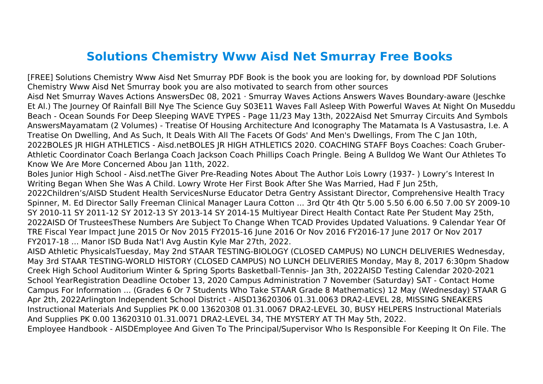## **Solutions Chemistry Www Aisd Net Smurray Free Books**

[FREE] Solutions Chemistry Www Aisd Net Smurray PDF Book is the book you are looking for, by download PDF Solutions Chemistry Www Aisd Net Smurray book you are also motivated to search from other sources Aisd Net Smurray Waves Actions AnswersDec 08, 2021 · Smurray Waves Actions Answers Waves Boundary-aware (Jeschke Et Al.) The Journey Of Rainfall Bill Nye The Science Guy S03E11 Waves Fall Asleep With Powerful Waves At Night On Museddu Beach - Ocean Sounds For Deep Sleeping WAVE TYPES - Page 11/23 May 13th, 2022Aisd Net Smurray Circuits And Symbols AnswersMayamatam (2 Volumes) - Treatise Of Housing Architecture And Iconography The Matamata Is A Vastusastra, I.e. A Treatise On Dwelling, And As Such, It Deals With All The Facets Of Gods' And Men's Dwellings, From The C Jan 10th, 2022BOLES JR HIGH ATHLETICS - Aisd.netBOLES JR HIGH ATHLETICS 2020. COACHING STAFF Boys Coaches: Coach Gruber-Athletic Coordinator Coach Berlanga Coach Jackson Coach Phillips Coach Pringle. Being A Bulldog We Want Our Athletes To Know We Are More Concerned Abou Jan 11th, 2022.

Boles Junior High School - Aisd.netThe Giver Pre-Reading Notes About The Author Lois Lowry (1937- ) Lowry's Interest In Writing Began When She Was A Child. Lowry Wrote Her First Book After She Was Married, Had F Jun 25th,

2022Children's/AISD Student Health ServicesNurse Educator Detra Gentry Assistant Director, Comprehensive Health Tracy Spinner, M. Ed Director Sally Freeman Clinical Manager Laura Cotton ... 3rd Qtr 4th Qtr 5.00 5.50 6.00 6.50 7.00 SY 2009-10 SY 2010-11 SY 2011-12 SY 2012-13 SY 2013-14 SY 2014-15 Multiyear Direct Health Contact Rate Per Student May 25th, 2022AISD Of TrusteesThese Numbers Are Subject To Change When TCAD Provides Updated Valuations. 9 Calendar Year Of TRE Fiscal Year Impact June 2015 Or Nov 2015 FY2015‐16 June 2016 Or Nov 2016 FY2016‐17 June 2017 Or Nov 2017 FY2017‐18 ... Manor ISD Buda Nat'l Avg Austin Kyle Mar 27th, 2022.

AISD Athletic PhysicalsTuesday, May 2nd STAAR TESTING-BIOLOGY (CLOSED CAMPUS) NO LUNCH DELIVERIES Wednesday, May 3rd STAAR TESTING-WORLD HISTORY (CLOSED CAMPUS) NO LUNCH DELIVERIES Monday, May 8, 2017 6:30pm Shadow Creek High School Auditorium Winter & Spring Sports Basketball-Tennis- Jan 3th, 2022AISD Testing Calendar 2020-2021 School YearRegistration Deadline October 13, 2020 Campus Administration 7 November (Saturday) SAT - Contact Home Campus For Information ... (Grades 6 Or 7 Students Who Take STAAR Grade 8 Mathematics) 12 May (Wednesday) STAAR G Apr 2th, 2022Arlington Independent School District - AISD13620306 01.31.0063 DRA2-LEVEL 28, MISSING SNEAKERS Instructional Materials And Supplies PK 0.00 13620308 01.31.0067 DRA2-LEVEL 30, BUSY HELPERS Instructional Materials And Supplies PK 0.00 13620310 01.31.0071 DRA2-LEVEL 34, THE MYSTERY AT TH May 5th, 2022.

Employee Handbook - AISDEmployee And Given To The Principal/Supervisor Who Is Responsible For Keeping It On File. The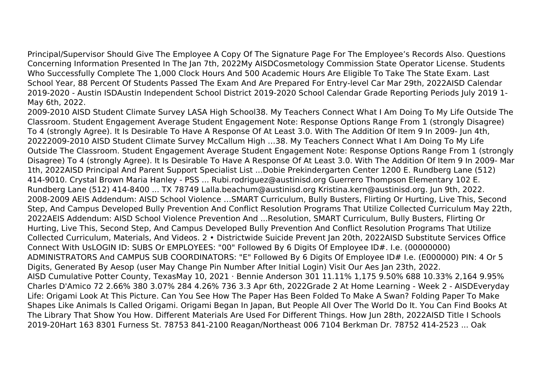Principal/Supervisor Should Give The Employee A Copy Of The Signature Page For The Employee's Records Also. Questions Concerning Information Presented In The Jan 7th, 2022My AISDCosmetology Commission State Operator License. Students Who Successfully Complete The 1,000 Clock Hours And 500 Academic Hours Are Eligible To Take The State Exam. Last School Year, 88 Percent Of Students Passed The Exam And Are Prepared For Entry-level Car Mar 29th, 2022AISD Calendar 2019-2020 - Austin ISDAustin Independent School District 2019-2020 School Calendar Grade Reporting Periods July 2019 1- May 6th, 2022.

2009-2010 AISD Student Climate Survey LASA High School38. My Teachers Connect What I Am Doing To My Life Outside The Classroom. Student Engagement Average Student Engagement Note: Response Options Range From 1 (strongly Disagree) To 4 (strongly Agree). It Is Desirable To Have A Response Of At Least 3.0. With The Addition Of Item 9 In 2009- Jun 4th, 20222009-2010 AISD Student Climate Survey McCallum High …38. My Teachers Connect What I Am Doing To My Life Outside The Classroom. Student Engagement Average Student Engagement Note: Response Options Range From 1 (strongly Disagree) To 4 (strongly Agree). It Is Desirable To Have A Response Of At Least 3.0. With The Addition Of Item 9 In 2009- Mar 1th, 2022AISD Principal And Parent Support Specialist List ...Dobie Prekindergarten Center 1200 E. Rundberg Lane (512) 414-9010. Crystal Brown Maria Hanley - PSS ... Rubi.rodriguez@austinisd.org Guerrero Thompson Elementary 102 E. Rundberg Lane (512) 414-8400 ... TX 78749 Lalla.beachum@austinisd.org Kristina.kern@austinisd.org. Jun 9th, 2022. 2008-2009 AEIS Addendum: AISD School Violence …SMART Curriculum, Bully Busters, Flirting Or Hurting, Live This, Second Step, And Campus Developed Bully Prevention And Conflict Resolution Programs That Utilize Collected Curriculum May 22th, 2022AEIS Addendum: AISD School Violence Prevention And ...Resolution, SMART Curriculum, Bully Busters, Flirting Or Hurting, Live This, Second Step, And Campus Developed Bully Prevention And Conflict Resolution Programs That Utilize Collected Curriculum, Materials, And Videos. 2 • Districtwide Suicide Prevent Jan 20th, 2022AISD Substitute Services Office Connect With UsLOGIN ID: SUBS Or EMPLOYEES: "00" Followed By 6 Digits Of Employee ID#. I.e. (00000000) ADMINISTRATORS And CAMPUS SUB COORDINATORS: "E" Followed By 6 Digits Of Employee ID# I.e. (E000000) PIN: 4 Or 5 Digits, Generated By Aesop (user May Change Pin Number After Initial Login) Visit Our Aes Jan 23th, 2022. AISD Cumulative Potter County, TexasMay 10, 2021 · Bennie Anderson 301 11.11% 1,175 9.50% 688 10.33% 2,164 9.95% Charles D'Amico 72 2.66% 380 3.07% 284 4.26% 736 3.3 Apr 6th, 2022Grade 2 At Home Learning - Week 2 - AISDEveryday Life: Origami Look At This Picture. Can You See How The Paper Has Been Folded To Make A Swan? Folding Paper To Make Shapes Like Animals Is Called Origami. Origami Began In Japan, But People All Over The World Do It. You Can Find Books At The Library That Show You How. Different Materials Are Used For Different Things. How Jun 28th, 2022AISD Title I Schools 2019-20Hart 163 8301 Furness St. 78753 841-2100 Reagan/Northeast 006 7104 Berkman Dr. 78752 414-2523 ... Oak